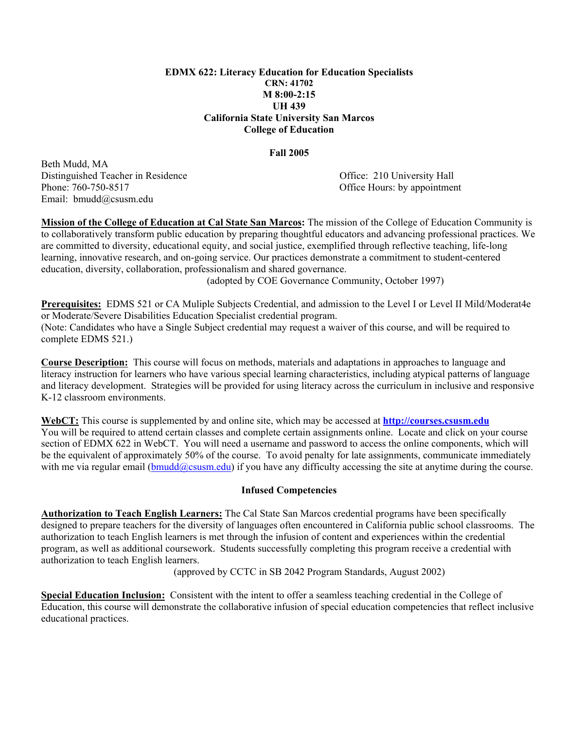#### **EDMX 622: Literacy Education for Education Specialists CRN: 41702 M 8:00-2:15 UH 439 California State University San Marcos College of Education**

#### **Fall 2005**

Beth Mudd, MA Distinguished Teacher in Residence Office: 210 University Hall Phone: 760-750-8517 **Office Hours: by appointment** Email: bmudd@csusm.edu

**Mission of the College of Education at Cal State San Marcos:** The mission of the College of Education Community is to collaboratively transform public education by preparing thoughtful educators and advancing professional practices. We are committed to diversity, educational equity, and social justice, exemplified through reflective teaching, life-long learning, innovative research, and on-going service. Our practices demonstrate a commitment to student-centered education, diversity, collaboration, professionalism and shared governance.

(adopted by COE Governance Community, October 1997)

**Prerequisites:** EDMS 521 or CA Muliple Subjects Credential, and admission to the Level I or Level II Mild/Moderat4e or Moderate/Severe Disabilities Education Specialist credential program. (Note: Candidates who have a Single Subject credential may request a waiver of this course, and will be required to complete EDMS 521.)

**Course Description:** This course will focus on methods, materials and adaptations in approaches to language and literacy instruction for learners who have various special learning characteristics, including atypical patterns of language and literacy development. Strategies will be provided for using literacy across the curriculum in inclusive and responsive K-12 classroom environments.

**WebCT:** This course is supplemented by and online site, which may be accessed at **http://courses.csusm.edu** You will be required to attend certain classes and complete certain assignments online. Locate and click on your course section of EDMX 622 in WebCT. You will need a username and password to access the online components, which will be the equivalent of approximately 50% of the course. To avoid penalty for late assignments, communicate immediately with me via regular email ( $bmudd@cssum.edu$ ) if you have any difficulty accessing the site at anytime during the course.

#### **Infused Competencies**

**Authorization to Teach English Learners:** The Cal State San Marcos credential programs have been specifically designed to prepare teachers for the diversity of languages often encountered in California public school classrooms. The authorization to teach English learners is met through the infusion of content and experiences within the credential program, as well as additional coursework. Students successfully completing this program receive a credential with authorization to teach English learners.

(approved by CCTC in SB 2042 Program Standards, August 2002)

**Special Education Inclusion:** Consistent with the intent to offer a seamless teaching credential in the College of Education, this course will demonstrate the collaborative infusion of special education competencies that reflect inclusive educational practices.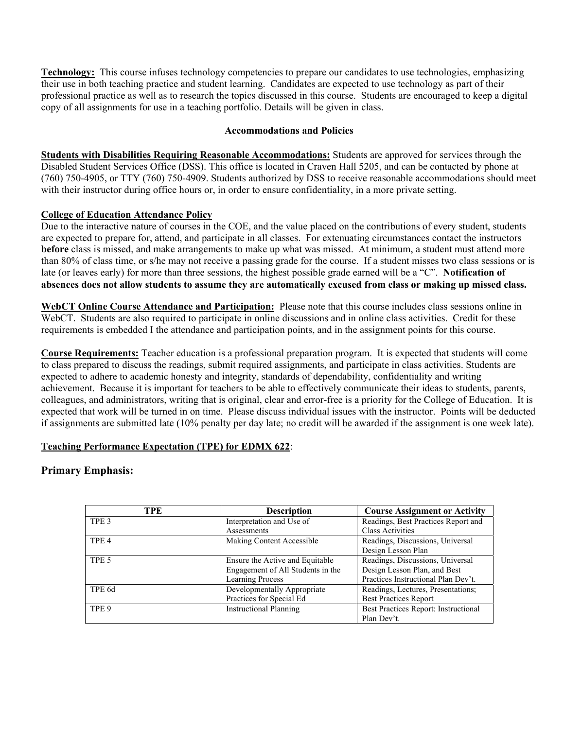**Technology:** This course infuses technology competencies to prepare our candidates to use technologies, emphasizing their use in both teaching practice and student learning. Candidates are expected to use technology as part of their professional practice as well as to research the topics discussed in this course. Students are encouraged to keep a digital copy of all assignments for use in a teaching portfolio. Details will be given in class.

## **Accommodations and Policies**

**Students with Disabilities Requiring Reasonable Accommodations:** Students are approved for services through the Disabled Student Services Office (DSS). This office is located in Craven Hall 5205, and can be contacted by phone at (760) 750-4905, or TTY (760) 750-4909. Students authorized by DSS to receive reasonable accommodations should meet with their instructor during office hours or, in order to ensure confidentiality, in a more private setting.

## **College of Education Attendance Policy**

Due to the interactive nature of courses in the COE, and the value placed on the contributions of every student, students are expected to prepare for, attend, and participate in all classes. For extenuating circumstances contact the instructors **before** class is missed, and make arrangements to make up what was missed. At minimum, a student must attend more than 80% of class time, or s/he may not receive a passing grade for the course. If a student misses two class sessions or is late (or leaves early) for more than three sessions, the highest possible grade earned will be a "C". **Notification of absences does not allow students to assume they are automatically excused from class or making up missed class.** 

**WebCT Online Course Attendance and Participation:** Please note that this course includes class sessions online in WebCT. Students are also required to participate in online discussions and in online class activities. Credit for these requirements is embedded I the attendance and participation points, and in the assignment points for this course.

**Course Requirements:** Teacher education is a professional preparation program. It is expected that students will come to class prepared to discuss the readings, submit required assignments, and participate in class activities. Students are expected to adhere to academic honesty and integrity, standards of dependability, confidentiality and writing achievement. Because it is important for teachers to be able to effectively communicate their ideas to students, parents, colleagues, and administrators, writing that is original, clear and error-free is a priority for the College of Education. It is expected that work will be turned in on time. Please discuss individual issues with the instructor. Points will be deducted if assignments are submitted late (10% penalty per day late; no credit will be awarded if the assignment is one week late).

# **Teaching Performance Expectation (TPE) for EDMX 622**:

# **Primary Emphasis:**

| TPE              | <b>Description</b>                | <b>Course Assignment or Activity</b> |
|------------------|-----------------------------------|--------------------------------------|
| TPE <sub>3</sub> | Interpretation and Use of         | Readings, Best Practices Report and  |
|                  | Assessments                       | <b>Class Activities</b>              |
| TPE <sub>4</sub> | Making Content Accessible         | Readings, Discussions, Universal     |
|                  |                                   | Design Lesson Plan                   |
| TPE <sub>5</sub> | Ensure the Active and Equitable   | Readings, Discussions, Universal     |
|                  | Engagement of All Students in the | Design Lesson Plan, and Best         |
|                  | <b>Learning Process</b>           | Practices Instructional Plan Dev't.  |
| TPE 6d           | Developmentally Appropriate       | Readings, Lectures, Presentations;   |
|                  | Practices for Special Ed          | <b>Best Practices Report</b>         |
| TPE 9            | <b>Instructional Planning</b>     | Best Practices Report: Instructional |
|                  |                                   | Plan Dev't.                          |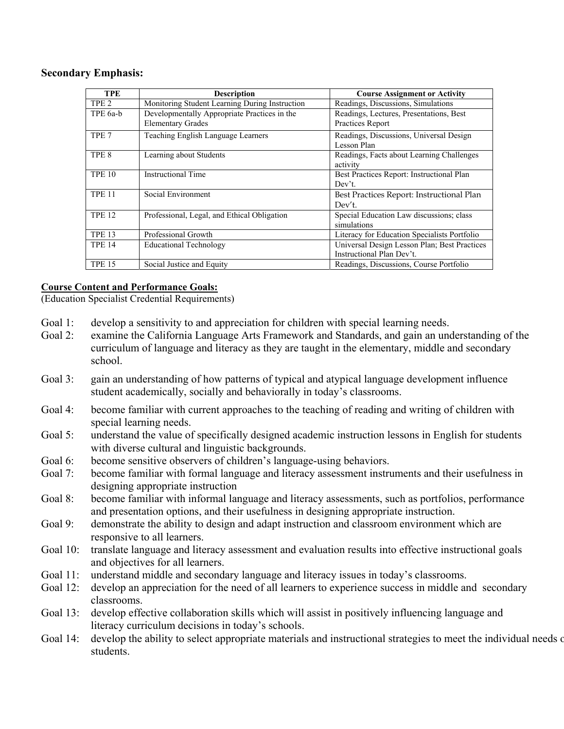## **Secondary Emphasis:**

| <b>TPE</b>       | <b>Description</b>                             | <b>Course Assignment or Activity</b>         |
|------------------|------------------------------------------------|----------------------------------------------|
| TPE <sub>2</sub> | Monitoring Student Learning During Instruction | Readings, Discussions, Simulations           |
| TPE 6a-b         | Developmentally Appropriate Practices in the   | Readings, Lectures, Presentations, Best      |
|                  | <b>Elementary Grades</b>                       | Practices Report                             |
| TPE <sub>7</sub> | Teaching English Language Learners             | Readings, Discussions, Universal Design      |
|                  |                                                | Lesson Plan                                  |
| TPE <sub>8</sub> | Learning about Students                        | Readings, Facts about Learning Challenges    |
|                  |                                                | activity                                     |
| <b>TPE 10</b>    | <b>Instructional Time</b>                      | Best Practices Report: Instructional Plan    |
|                  |                                                | Dev't.                                       |
| <b>TPE 11</b>    | Social Environment                             | Best Practices Report: Instructional Plan    |
|                  |                                                | Dev't.                                       |
| <b>TPE 12</b>    | Professional, Legal, and Ethical Obligation    | Special Education Law discussions; class     |
|                  |                                                | simulations                                  |
| <b>TPE 13</b>    | Professional Growth                            | Literacy for Education Specialists Portfolio |
| <b>TPE 14</b>    | <b>Educational Technology</b>                  | Universal Design Lesson Plan; Best Practices |
|                  |                                                | Instructional Plan Dev't.                    |
| <b>TPE 15</b>    | Social Justice and Equity                      | Readings, Discussions, Course Portfolio      |

# **Course Content and Performance Goals:**

(Education Specialist Credential Requirements)

- Goal 1: develop a sensitivity to and appreciation for children with special learning needs.
- Goal 2: examine the California Language Arts Framework and Standards, and gain an understanding of the curriculum of language and literacy as they are taught in the elementary, middle and secondary school.
- Goal 3: gain an understanding of how patterns of typical and atypical language development influence student academically, socially and behaviorally in today's classrooms.
- Goal 4: become familiar with current approaches to the teaching of reading and writing of children with special learning needs.
- Goal 5: understand the value of specifically designed academic instruction lessons in English for students with diverse cultural and linguistic backgrounds.
- Goal 6: become sensitive observers of children's language-using behaviors.
- Goal 7: become familiar with formal language and literacy assessment instruments and their usefulness in designing appropriate instruction
- Goal 8: become familiar with informal language and literacy assessments, such as portfolios, performance and presentation options, and their usefulness in designing appropriate instruction.
- Goal 9: demonstrate the ability to design and adapt instruction and classroom environment which are responsive to all learners.
- Goal 10: translate language and literacy assessment and evaluation results into effective instructional goals and objectives for all learners.
- Goal 11: understand middle and secondary language and literacy issues in today's classrooms.
- Goal 12: develop an appreciation for the need of all learners to experience success in middle and secondary classrooms.
- Goal 13: develop effective collaboration skills which will assist in positively influencing language and literacy curriculum decisions in today's schools.
- Goal 14: develop the ability to select appropriate materials and instructional strategies to meet the individual needs of students.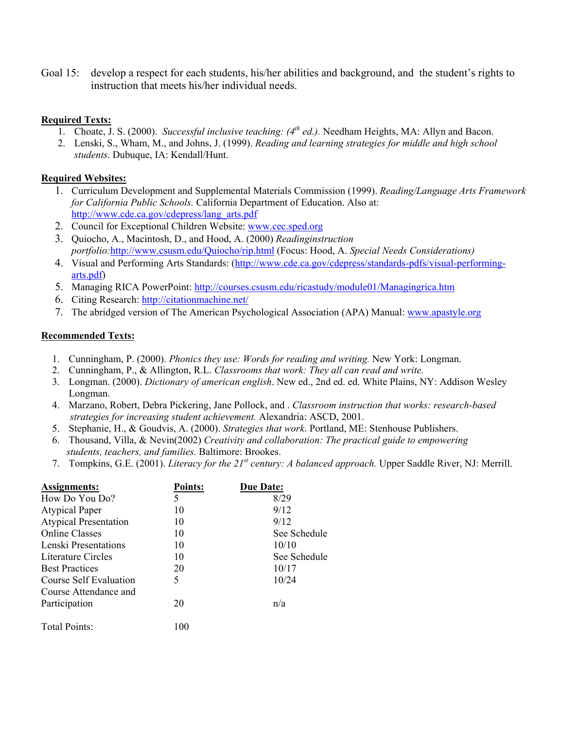Goal 15: develop a respect for each students, his/her abilities and background, and the student's rights to instruction that meets his/her individual needs.

## **Required Texts:**

- 1. Choate, J. S. (2000). *Successful inclusive teaching: (4th ed.).* Needham Heights, MA: Allyn and Bacon.
- 2. Lenski, S., Wham, M., and Johns, J. (1999). *Reading and learning strategies for middle and high school students*. Dubuque, IA: Kendall/Hunt.

## **Required Websites:**

- 1. Curriculum Development and Supplemental Materials Commission (1999). *Reading/Language Arts Framework for California Public Schools.* California Department of Education. Also at: http://www.cde.ca.gov/cdepress/lang\_arts.pdf
- 2. Council for Exceptional Children Website: www.cec.sped.org
- 3. Quiocho, A., Macintosh, D., and Hood, A. (2000) *Readinginstruction portfolio:*http://www.csusm.edu/Quiocho/rip.html (Focus: Hood, A. *Special Needs Considerations)*
- 4. Visual and Performing Arts Standards: (http://www.cde.ca.gov/cdepress/standards-pdfs/visual-performingarts.pdf)
- 5. Managing RICA PowerPoint: http://courses.csusm.edu/ricastudy/module01/Managingrica.htm
- 6. Citing Research: http://citationmachine.net/
- 7. The abridged version of The American Psychological Association (APA) Manual: www.apastyle.org

## **Recommended Texts:**

- 1. Cunningham, P. (2000). *Phonics they use: Words for reading and writing.* New York: Longman.
- 2. Cunningham, P., & Allington, R.L. *Classrooms that work: They all can read and write.*
- 3. Longman. (2000). *Dictionary of american english*. New ed., 2nd ed. ed. White Plains, NY: Addison Wesley Longman.
- 4. Marzano, Robert, Debra Pickering, Jane Pollock, and . *Classroom instruction that works: research-based strategies for increasing student achievement.* Alexandria: ASCD, 2001.
- 5. Stephanie, H., & Goudvis, A. (2000). *Strategies that work*. Portland, ME: Stenhouse Publishers.
- 6. Thousand, Villa, & Nevin(2002) *Creativity and collaboration: The practical guide to empowering students, teachers, and families.* Baltimore: Brookes.
- 7. Tompkins, G.E. (2001). *Literacy for the 21st century: A balanced approach.* Upper Saddle River, NJ: Merrill.

| Assignments:                 | <b>Points:</b> | <b>Due Date:</b> |
|------------------------------|----------------|------------------|
| How Do You Do?               | 5              | 8/29             |
| <b>Atypical Paper</b>        | 10             | 9/12             |
| <b>Atypical Presentation</b> | 10             | 9/12             |
| <b>Online Classes</b>        | 10             | See Schedule     |
| Lenski Presentations         | 10             | 10/10            |
| Literature Circles           | 10             | See Schedule     |
| <b>Best Practices</b>        | 20             | 10/17            |
| Course Self Evaluation       | 5              | 10/24            |
| Course Attendance and        |                |                  |
| Participation                | 20             | n/a              |
| Total Points:                | 100            |                  |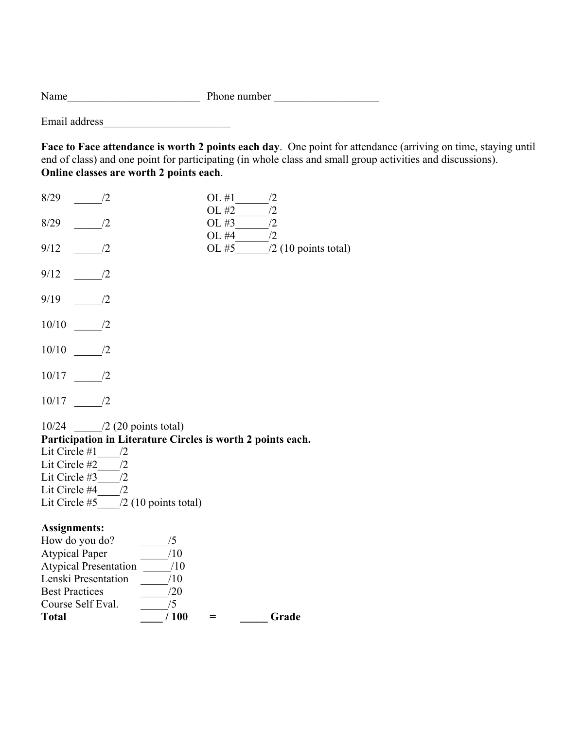Name\_\_\_\_\_\_\_\_\_\_\_\_\_\_\_\_\_\_\_\_\_\_\_\_ Phone number \_\_\_\_\_\_\_\_\_\_\_\_\_\_\_\_\_\_\_

Email address\_\_\_\_\_\_\_\_\_\_\_\_\_\_\_\_\_\_\_\_\_\_\_

**Face to Face attendance is worth 2 points each day**. One point for attendance (arriving on time, staying until end of class) and one point for participating (in whole class and small group activities and discussions). **Online classes are worth 2 points each**.

| 8/29<br>/2                                                                                                                                                                                                                          | OL #1<br>/2                                    |
|-------------------------------------------------------------------------------------------------------------------------------------------------------------------------------------------------------------------------------------|------------------------------------------------|
| 8/29<br>/2                                                                                                                                                                                                                          | OL #2<br>/2<br>/2<br>OL #3                     |
| /2<br>9/12                                                                                                                                                                                                                          | OL #4<br>/2<br>OL #5<br>$/2$ (10 points total) |
| 9/12<br>/2                                                                                                                                                                                                                          |                                                |
| /2<br>9/19                                                                                                                                                                                                                          |                                                |
| 10/10<br>/2                                                                                                                                                                                                                         |                                                |
| 10/10<br>/2                                                                                                                                                                                                                         |                                                |
| 10/17<br>$\frac{1}{2}$                                                                                                                                                                                                              |                                                |
| /2<br>10/17                                                                                                                                                                                                                         |                                                |
| $10/24$ /2 (20 points total)<br>Participation in Literature Circles is worth 2 points each.<br>Lit Circle #1<br>/2<br>/2<br>Lit Circle #2<br>Lit Circle #3<br>/2<br>Lit Circle #4<br>/2<br>$/2$ (10 points total)<br>Lit Circle #5  |                                                |
| <b>Assignments:</b><br>How do you do?<br>/5<br>/10<br><b>Atypical Paper</b><br><b>Atypical Presentation</b><br>/10<br>Lenski Presentation<br>/10<br><b>Best Practices</b><br>/20<br>/5<br>Course Self Eval.<br>/100<br><b>Total</b> | Grade<br>$=$                                   |